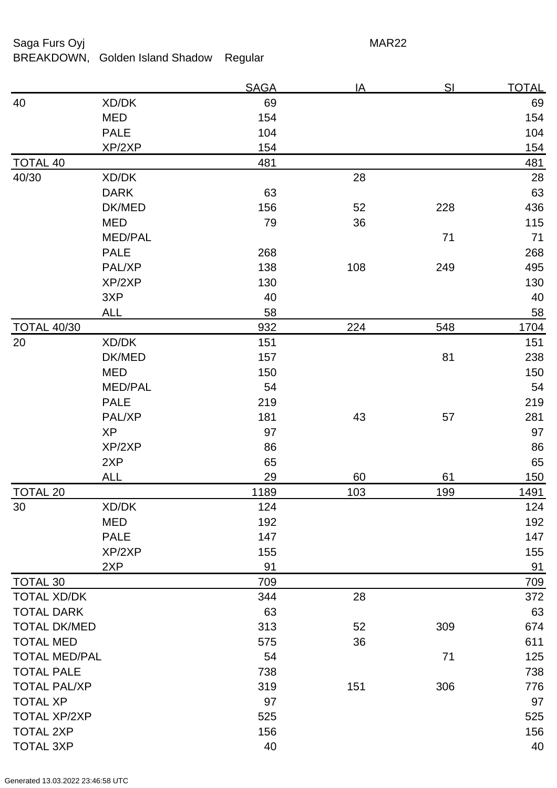| Saga Furs Oyj   |                                 | MAR22       |    |     |              |
|-----------------|---------------------------------|-------------|----|-----|--------------|
|                 | BREAKDOWN, Golden Island Shadow | Regular     |    |     |              |
|                 |                                 | <b>SAGA</b> | ΙA | SI  | <b>TOTAL</b> |
| 40              | XD/DK                           | 69          |    |     | 69           |
|                 | <b>MED</b>                      | 154         |    |     | 154          |
|                 | <b>PALE</b>                     | 104         |    |     | 104          |
|                 | XP/2XP                          | 154         |    |     | 154          |
| <b>TOTAL 40</b> |                                 | 481         |    |     | 481          |
| 40/30           | XD/DK                           |             | 28 |     | 28           |
|                 | <b>DARK</b>                     | 63          |    |     | 63           |
|                 | DK/MED                          | 156         | 52 | 228 | 436          |
|                 | <b>MED</b>                      | 79          | 36 |     | 115          |

| 40/30                | XD/DK          |      | 28  |     | 28         |
|----------------------|----------------|------|-----|-----|------------|
|                      | <b>DARK</b>    | 63   |     |     | 63         |
|                      | DK/MED         | 156  | 52  | 228 | 436        |
|                      | <b>MED</b>     | 79   | 36  |     | 115        |
|                      | <b>MED/PAL</b> |      |     | 71  | 71         |
|                      | <b>PALE</b>    | 268  |     |     | 268        |
|                      | PAL/XP         | 138  | 108 | 249 | 495        |
|                      | XP/2XP         | 130  |     |     | 130        |
|                      | 3XP            | 40   |     |     | 40         |
|                      | <b>ALL</b>     | 58   |     |     | 58         |
| <b>TOTAL 40/30</b>   |                | 932  | 224 | 548 | 1704       |
| 20                   | XD/DK          | 151  |     |     | 151        |
|                      | DK/MED         | 157  |     | 81  | 238        |
|                      | <b>MED</b>     | 150  |     |     | 150        |
|                      | <b>MED/PAL</b> | 54   |     |     | 54         |
|                      | <b>PALE</b>    | 219  |     |     | 219        |
|                      | PAL/XP         | 181  | 43  | 57  | 281        |
|                      | <b>XP</b>      | 97   |     |     | 97         |
|                      | XP/2XP         | 86   |     |     | 86         |
|                      | 2XP            | 65   |     |     | 65         |
|                      | <b>ALL</b>     | 29   | 60  | 61  | 150        |
| <b>TOTAL 20</b>      |                | 1189 | 103 | 199 | 1491       |
| 30                   | XD/DK          | 124  |     |     | 124        |
|                      | <b>MED</b>     | 192  |     |     | 192        |
|                      | <b>PALE</b>    | 147  |     |     | 147        |
|                      | XP/2XP         | 155  |     |     | 155        |
|                      | 2XP            | 91   |     |     | 91         |
| <b>TOTAL 30</b>      |                | 709  |     |     | <u>709</u> |
| <b>TOTAL XD/DK</b>   |                | 344  | 28  |     | 372        |
| <b>TOTAL DARK</b>    |                | 63   |     |     | 63         |
| <b>TOTAL DK/MED</b>  |                | 313  | 52  | 309 | 674        |
| <b>TOTAL MED</b>     |                | 575  | 36  |     | 611        |
| <b>TOTAL MED/PAL</b> |                | 54   |     | 71  | 125        |
| <b>TOTAL PALE</b>    |                | 738  |     |     | 738        |
| <b>TOTAL PAL/XP</b>  |                | 319  | 151 | 306 | 776        |
| <b>TOTAL XP</b>      |                | 97   |     |     | 97         |
| <b>TOTAL XP/2XP</b>  |                | 525  |     |     | 525        |
| <b>TOTAL 2XP</b>     |                | 156  |     |     | 156        |
| <b>TOTAL 3XP</b>     |                | 40   |     |     | 40         |